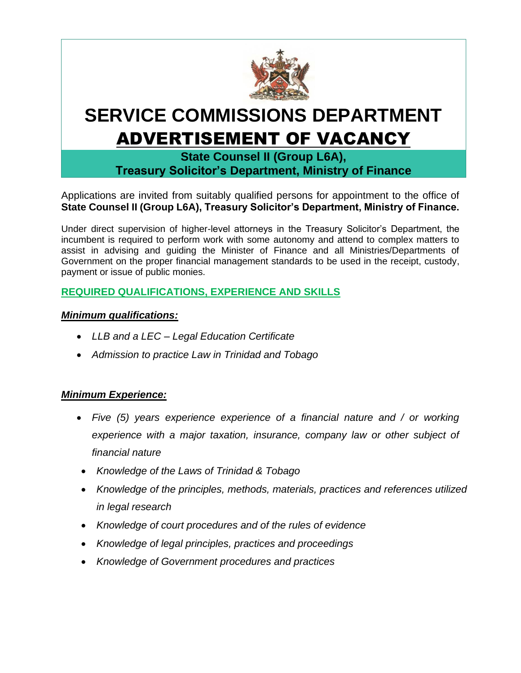

# **SERVICE COMMISSIONS DEPARTMENT** ADVERTISEMENT OF VACANCY

**State Counsel II (Group L6A), Treasury Solicitor's Department, Ministry of Finance**

Applications are invited from suitably qualified persons for appointment to the office of **State Counsel II (Group L6A), Treasury Solicitor's Department, Ministry of Finance.**

Under direct supervision of higher-level attorneys in the Treasury Solicitor's Department, the incumbent is required to perform work with some autonomy and attend to complex matters to assist in advising and guiding the Minister of Finance and all Ministries/Departments of Government on the proper financial management standards to be used in the receipt, custody, payment or issue of public monies.

## **REQUIRED QUALIFICATIONS, EXPERIENCE AND SKILLS**

### *Minimum qualifications:*

- *LLB and a LEC – Legal Education Certificate*
- *Admission to practice Law in Trinidad and Tobago*

## *Minimum Experience:*

- *Five (5) years experience experience of a financial nature and / or working experience with a major taxation, insurance, company law or other subject of financial nature*
- *Knowledge of the Laws of Trinidad & Tobago*
- *Knowledge of the principles, methods, materials, practices and references utilized in legal research*
- *Knowledge of court procedures and of the rules of evidence*
- *Knowledge of legal principles, practices and proceedings*
- *Knowledge of Government procedures and practices*